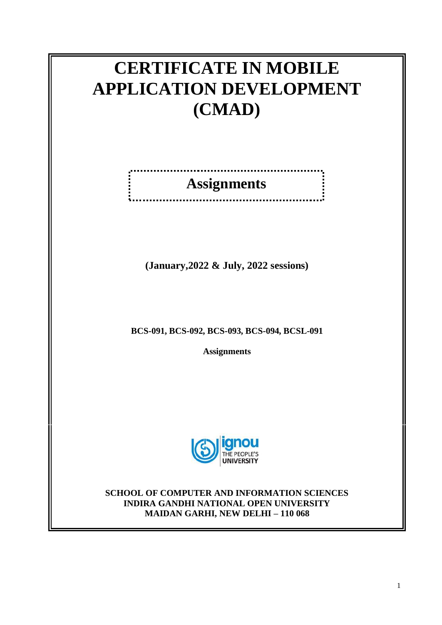# **CERTIFICATE IN MOBILE APPLICATION DEVELOPMENT (CMAD)**

# **Assignments**

. . . . . .

.......................

<u>. . . . . . . . . . .</u>

**(January,2022 & July, 2022 sessions)**

**BCS-091, BCS-092, BCS-093, BCS-094, BCSL-091**

**Assignments**



**SCHOOL OF COMPUTER AND INFORMATION SCIENCES INDIRA GANDHI NATIONAL OPEN UNIVERSITY MAIDAN GARHI, NEW DELHI – 110 068**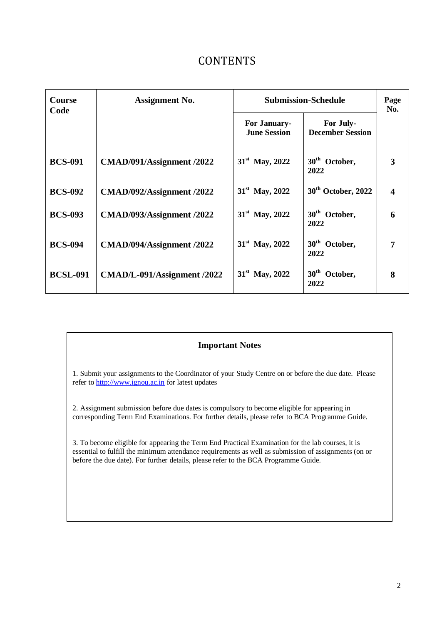### **CONTENTS**

| <b>Course</b><br>Code | <b>Assignment No.</b>       | <b>Submission-Schedule</b>                 |                                      | Page<br>No. |
|-----------------------|-----------------------------|--------------------------------------------|--------------------------------------|-------------|
|                       |                             | <b>For January-</b><br><b>June Session</b> | For July-<br><b>December Session</b> |             |
| <b>BCS-091</b>        | CMAD/091/Assignment /2022   | $31st$ May, 2022                           | 30 <sup>th</sup> October,<br>2022    | 3           |
| <b>BCS-092</b>        | CMAD/092/Assignment /2022   | $31st$ May, 2022                           | 30 <sup>th</sup> October, 2022       | 4           |
| <b>BCS-093</b>        | CMAD/093/Assignment /2022   | $31^{\rm st}$ May, 2022                    | 30 <sup>th</sup> October,<br>2022    | 6           |
| <b>BCS-094</b>        | CMAD/094/Assignment /2022   | $31^{\rm st}$ May, 2022                    | 30 <sup>th</sup> October,<br>2022    | 7           |
| <b>BCSL-091</b>       | CMAD/L-091/Assignment /2022 | $31^{\rm st}$ May, 2022                    | 30 <sup>th</sup> October,<br>2022    | 8           |

#### **Important Notes**

1. Submit your assignments to the Coordinator of your Study Centre on or before the due date. Please refer t[o http://www.ignou.ac.in](http://www.ignou.ac.in/) for latest updates

2. Assignment submission before due dates is compulsory to become eligible for appearing in corresponding Term End Examinations. For further details, please refer to BCA Programme Guide.

3. To become eligible for appearing the Term End Practical Examination for the lab courses, it is essential to fulfill the minimum attendance requirements as well as submission of assignments (on or before the due date). For further details, please refer to the BCA Programme Guide.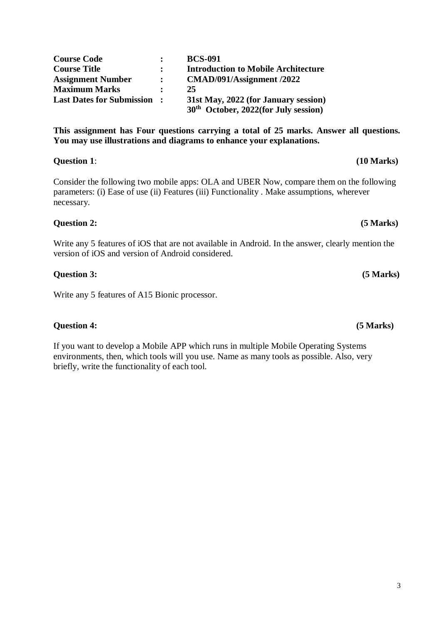**Last Dates for Submission : 31st May, 2022 (for January session) 30th October, 2022(for July session) This assignment has Four questions carrying a total of 25 marks. Answer all questions.** 

Consider the following two mobile apps: OLA and UBER Now, compare them on the following parameters: (i) Ease of use (ii) Features (iii) Functionality . Make assumptions, wherever necessary.

#### **Question 2: (5 Marks)**

Write any 5 features of iOS that are not available in Android. In the answer, clearly mention the version of iOS and version of Android considered.

#### **Question 3: (5 Marks)**

Write any 5 features of A15 Bionic processor.

#### **Question 4: (5 Marks)**

If you want to develop a Mobile APP which runs in multiple Mobile Operating Systems environments, then, which tools will you use. Name as many tools as possible. Also, very briefly, write the functionality of each tool.

## **Course Code : BCS-091 Course Title : Introduction to Mobile Architecture Assignment Number : CMAD/091/Assignment /2022 Maximum Marks : 25**

**You may use illustrations and diagrams to enhance your explanations.** 

**Question 1**: **(10 Marks)**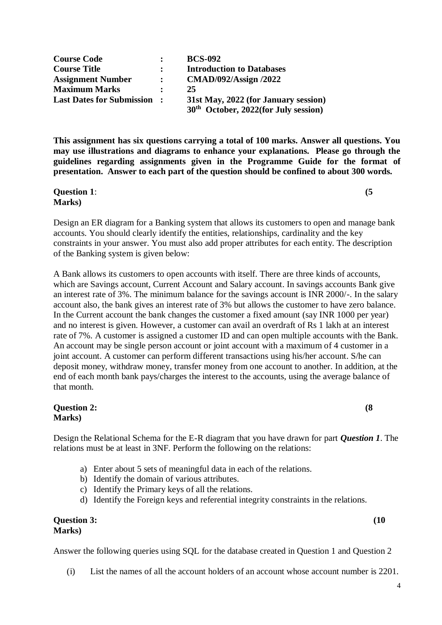| <b>Course Code</b>                |              | <b>BCS-092</b>                                                                 |
|-----------------------------------|--------------|--------------------------------------------------------------------------------|
| <b>Course Title</b>               |              | <b>Introduction to Databases</b>                                               |
| <b>Assignment Number</b>          | $\mathbf{r}$ | <b>CMAD/092/Assign /2022</b>                                                   |
| <b>Maximum Marks</b>              |              | 25                                                                             |
| <b>Last Dates for Submission:</b> |              | 31st May, 2022 (for January session)<br>$30th$ October, 2022(for July session) |

**This assignment has six questions carrying a total of 100 marks. Answer all questions. You may use illustrations and diagrams to enhance your explanations. Please go through the guidelines regarding assignments given in the Programme Guide for the format of presentation. Answer to each part of the question should be confined to about 300 words.** 

**Question 1**: **(5 Marks)**

Design an ER diagram for a Banking system that allows its customers to open and manage bank accounts. You should clearly identify the entities, relationships, cardinality and the key constraints in your answer. You must also add proper attributes for each entity. The description of the Banking system is given below:

A Bank allows its customers to open accounts with itself. There are three kinds of accounts, which are Savings account, Current Account and Salary account. In savings accounts Bank give an interest rate of 3%. The minimum balance for the savings account is INR 2000/-. In the salary account also, the bank gives an interest rate of 3% but allows the customer to have zero balance. In the Current account the bank changes the customer a fixed amount (say INR 1000 per year) and no interest is given. However, a customer can avail an overdraft of Rs 1 lakh at an interest rate of 7%. A customer is assigned a customer ID and can open multiple accounts with the Bank. An account may be single person account or joint account with a maximum of 4 customer in a joint account. A customer can perform different transactions using his/her account. S/he can deposit money, withdraw money, transfer money from one account to another. In addition, at the end of each month bank pays/charges the interest to the accounts, using the average balance of that month.

#### **Question 2:** (8) **Marks)**

Design the Relational Schema for the E-R diagram that you have drawn for part *Question 1*. The relations must be at least in 3NF. Perform the following on the relations:

- a) Enter about 5 sets of meaningful data in each of the relations.
- b) Identify the domain of various attributes.
- c) Identify the Primary keys of all the relations.
- d) Identify the Foreign keys and referential integrity constraints in the relations.

#### **Question 3:** (10) **Marks)**

Answer the following queries using SQL for the database created in Question 1 and Question 2

(i) List the names of all the account holders of an account whose account number is 2201.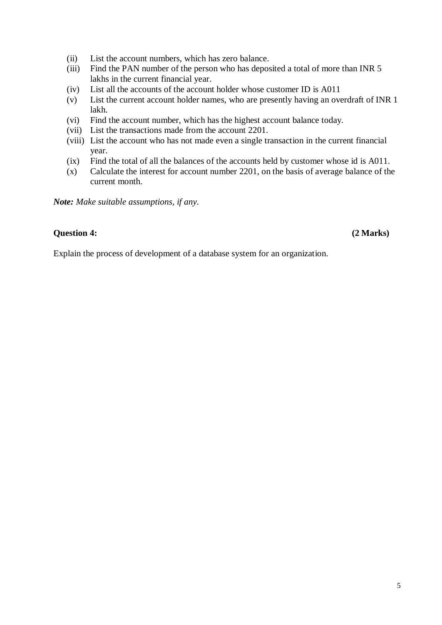- (ii) List the account numbers, which has zero balance.
- (iii) Find the PAN number of the person who has deposited a total of more than INR 5 lakhs in the current financial year.
- (iv) List all the accounts of the account holder whose customer ID is A011
- (v) List the current account holder names, who are presently having an overdraft of INR 1 lakh.
- (vi) Find the account number, which has the highest account balance today.
- (vii) List the transactions made from the account 2201.
- (viii) List the account who has not made even a single transaction in the current financial year.
- (ix) Find the total of all the balances of the accounts held by customer whose id is A011.
- (x) Calculate the interest for account number 2201, on the basis of average balance of the current month.

*Note: Make suitable assumptions, if any.*

#### **Question 4: (2 Marks)**

Explain the process of development of a database system for an organization.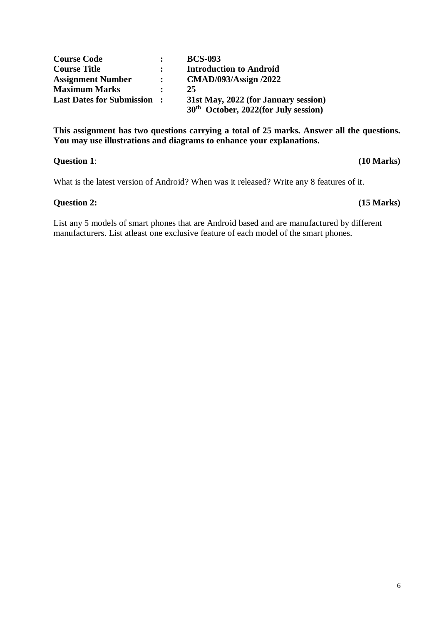| <b>Course Code</b>                |                      | <b>BCS-093</b>                                                                 |
|-----------------------------------|----------------------|--------------------------------------------------------------------------------|
| <b>Course Title</b>               |                      | <b>Introduction to Android</b>                                                 |
| <b>Assignment Number</b>          | $\mathbf{r}$         | <b>CMAD/093/Assign /2022</b>                                                   |
| <b>Maximum Marks</b>              | $\ddot{\phantom{a}}$ | 25                                                                             |
| <b>Last Dates for Submission:</b> |                      | 31st May, 2022 (for January session)<br>$30th$ October, 2022(for July session) |

**This assignment has two questions carrying a total of 25 marks. Answer all the questions. You may use illustrations and diagrams to enhance your explanations.** 

#### **Question 1**: **(10 Marks)**

What is the latest version of Android? When was it released? Write any 8 features of it.

#### **Question 2: (15 Marks)**

List any 5 models of smart phones that are Android based and are manufactured by different manufacturers. List atleast one exclusive feature of each model of the smart phones.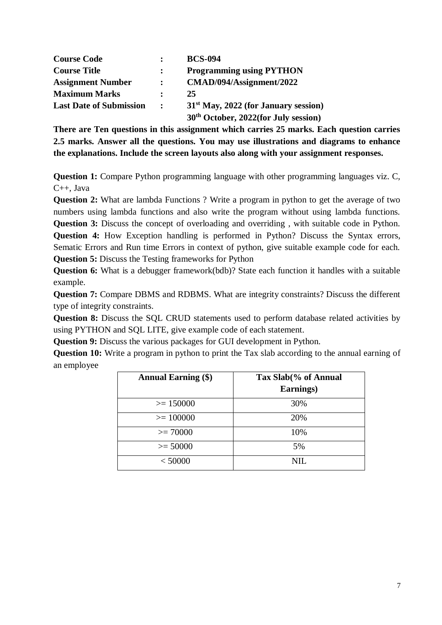| <b>Course Code</b>             |                | <b>BCS-094</b>                                   |
|--------------------------------|----------------|--------------------------------------------------|
| <b>Course Title</b>            |                | <b>Programming using PYTHON</b>                  |
| <b>Assignment Number</b>       | $\ddot{\cdot}$ | CMAD/094/Assignment/2022                         |
| <b>Maximum Marks</b>           | ٠              | 25                                               |
| <b>Last Date of Submission</b> | $\mathbf{r}$   | $31st$ May, 2022 (for January session)           |
|                                |                | 30 <sup>th</sup> October, 2022(for July session) |

**There are Ten questions in this assignment which carries 25 marks. Each question carries 2.5 marks. Answer all the questions. You may use illustrations and diagrams to enhance the explanations. Include the screen layouts also along with your assignment responses.** 

**Question 1:** Compare Python programming language with other programming languages viz. C, C++, Java

**Question 2:** What are lambda Functions ? Write a program in python to get the average of two numbers using lambda functions and also write the program without using lambda functions. **Question 3:** Discuss the concept of overloading and overriding, with suitable code in Python. **Question 4:** How Exception handling is performed in Python? Discuss the Syntax errors, Sematic Errors and Run time Errors in context of python, give suitable example code for each. **Question 5:** Discuss the Testing frameworks for Python

**Question 6:** What is a debugger framework(bdb)? State each function it handles with a suitable example.

**Question 7:** Compare DBMS and RDBMS. What are integrity constraints? Discuss the different type of integrity constraints.

**Question 8:** Discuss the SQL CRUD statements used to perform database related activities by using PYTHON and SQL LITE, give example code of each statement.

**Question 9:** Discuss the various packages for GUI development in Python.

**Question 10:** Write a program in python to print the Tax slab according to the annual earning of an employee

| <b>Annual Earning (\$)</b> | Tax Slab(% of Annual<br>Earnings) |
|----------------------------|-----------------------------------|
| $>= 150000$                | 30%                               |
| $>= 100000$                | 20%                               |
| $>= 70000$                 | 10%                               |
| $>= 50000$                 | 5%                                |
| < 50000                    | NIL.                              |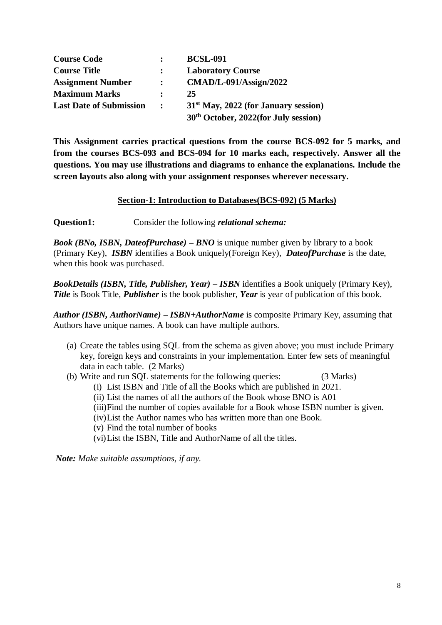| <b>Course Code</b>             |              | <b>BCSL-091</b>                                  |
|--------------------------------|--------------|--------------------------------------------------|
| <b>Course Title</b>            |              | <b>Laboratory Course</b>                         |
| <b>Assignment Number</b>       |              | $CMAD/L-091/Assign/2022$                         |
| <b>Maximum Marks</b>           | ٠            | 25                                               |
| <b>Last Date of Submission</b> | $\mathbb{R}$ | $31st$ May, 2022 (for January session)           |
|                                |              | 30 <sup>th</sup> October, 2022(for July session) |

**This Assignment carries practical questions from the course BCS-092 for 5 marks, and from the courses BCS-093 and BCS-094 for 10 marks each, respectively. Answer all the questions. You may use illustrations and diagrams to enhance the explanations. Include the screen layouts also along with your assignment responses wherever necessary.**

#### **Section-1: Introduction to Databases(BCS-092) (5 Marks)**

**Question1:** Consider the following *relational schema:*

*Book (BNo, ISBN, DateofPurchase) – BNO* is unique number given by library to a book (Primary Key), *ISBN* identifies a Book uniquely(Foreign Key), *DateofPurchase* is the date, when this book was purchased.

*BookDetails (ISBN, Title, Publisher, Year) – ISBN* identifies a Book uniquely (Primary Key), *Title* is Book Title, *Publisher* is the book publisher, *Year* is year of publication of this book.

*Author (ISBN, AuthorName) – ISBN+AuthorName* is composite Primary Key, assuming that Authors have unique names. A book can have multiple authors.

- (a) Create the tables using SQL from the schema as given above; you must include Primary key, foreign keys and constraints in your implementation. Enter few sets of meaningful data in each table. (2 Marks)
- (b) Write and run SQL statements for the following queries: (3 Marks)
	- (i) List ISBN and Title of all the Books which are published in 2021.
	- (ii) List the names of all the authors of the Book whose BNO is A01
	- (iii)Find the number of copies available for a Book whose ISBN number is given.
	- (iv)List the Author names who has written more than one Book.
	- (v) Find the total number of books
	- (vi)List the ISBN, Title and AuthorName of all the titles.

*Note: Make suitable assumptions, if any.*